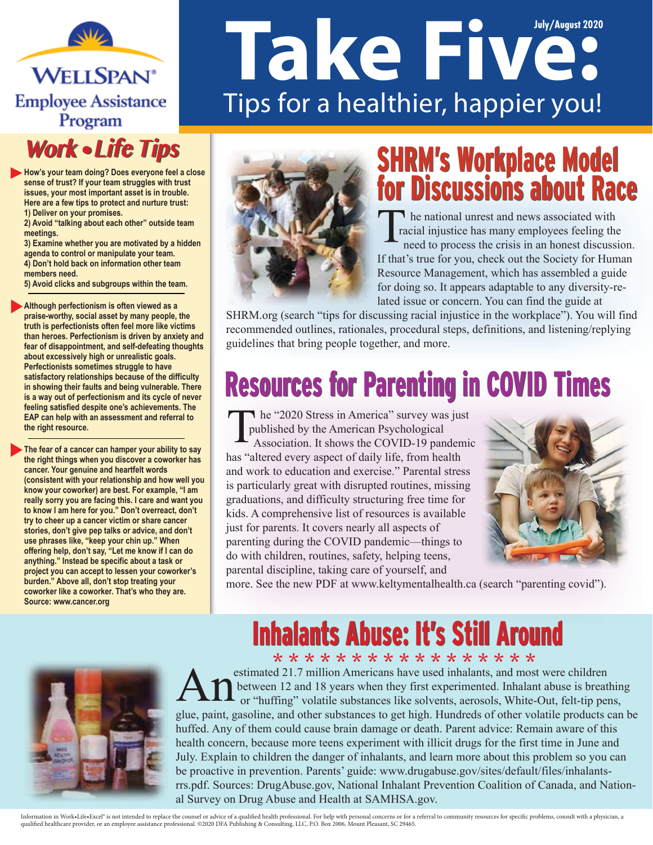**WELLSPAN® Employee Assistance** Program

#### **Work • Life Tips**

**How's your team doing? Does everyone feel a close sense of trust? If your team struggles with trust issues, your most important asset is in trouble. Here are a few tips to protect and nurture trust: 1) Deliver on your promises.** 

**2) Avoid "talking about each other" outside team meetings.** 

**3) Examine whether you are motivated by a hidden agenda to control or manipulate your team. 4) Don't hold back on information other team members need.** 

**5) Avoid clicks and subgroups within the team.**

**Although perfectionism is often viewed as a praise-worthy, social asset by many people, the truth is perfectionists often feel more like victims than heroes. Perfectionism is driven by anxiety and fear of disappointment, and self-defeating thoughts about excessively high or unrealistic goals. Perfectionists sometimes struggle to have satisfactory relationships because of the difficulty in showing their faults and being vulnerable. There is a way out of perfectionism and its cycle of never feeling satisfied despite one's achievements. The EAP can help with an assessment and referral to the right resource.** 

**The fear of a cancer can hamper your ability to say the right things when you discover a coworker has cancer. Your genuine and heartfelt words (consistent with your relationship and how well you know your coworker) are best. For example, "I am really sorry you are facing this. I care and want you to know I am here for you." Don't overreact, don't try to cheer up a cancer victim or share cancer stories, don't give pep talks or advice, and don't use phrases like, "keep your chin up." When offering help, don't say, "Let me know if I can do anything." Instead be specific about a task or project you can accept to lessen your coworker's burden." Above all, don't stop treating your coworker like a coworker. That's who they are. Source: www.cancer.org**

# **Take Five:** Tips for a healthier, happier you!



#### SHRM's Workplace Model for Discussions about Race SHRM's Workplace Model for Discussions about Race

he national unrest and news associated with racial injustice has many employees feeling the need to process the crisis in an honest discussion. If that's true for you, check out the Society for Human Resource Management, which has assembled a guide for doing so. It appears adaptable to any diversity-related issue or concern. You can find the guide at

SHRM.org (search "tips for discussing racial injustice in the workplace"). You will find recommended outlines, rationales, procedural steps, definitions, and listening/replying guidelines that bring people together, and more.

# Resources for Parenting in COVID Times

**he** "2020 Stress in America" survey was just published by the American Psychological Association. It shows the COVID-19 pandemic has "altered every aspect of daily life, from health and work to education and exercise." Parental stress is particularly great with disrupted routines, missing graduations, and difficulty structuring free time for kids. A comprehensive list of resources is available just for parents. It covers nearly all aspects of parenting during the COVID pandemic—things to do with children, routines, safety, helping teens, parental discipline, taking care of yourself, and



more. See the new PDF at www.keltymentalhealth.ca (search "parenting covid").

#### **Inhalants Abuse: It's Still Around**

\* \* \* \* \* \* \* \* \* \* \* \* \* \* \* \* \* estimated 21.7 million Americans have used inhalants, and most were children between 12 and 18 years when they first experimented. Inhalant abuse is breathing or "huffing" volatile substances like solvents, aerosols, White-Out, felt-tip pens, glue, paint, gasoline, and other substances to get high. Hundreds of other volatile products can be huffed. Any of them could cause brain damage or death. Parent advice: Remain aware of this health concern, because more teens experiment with illicit drugs for the first time in June and July. Explain to children the danger of inhalants, and learn more about this problem so you can be proactive in prevention. Parents' guide: www.drugabuse.gov/sites/default/files/inhalantsrrs.pdf. Sources: DrugAbuse.gov, National Inhalant Prevention Coalition of Canada, and National Survey on Drug Abuse and Health at SAMHSA.gov.